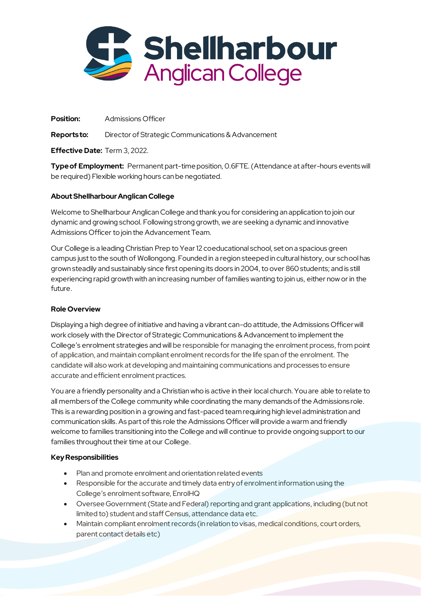

**Position:** Admissions Officer

**Reports to:** Director of Strategic Communications & Advancement

**Effective Date:** Term 3, 2022.

**Type of Employment:** Permanent part-time position, 0.6FTE. (Attendance at after-hours events will be required) Flexible working hours can be negotiated.

## **About Shellharbour Anglican College**

Welcome to Shellharbour Anglican College and thank you for considering an application to join our dynamic and growing school. Following strong growth, we are seeking a dynamic and innovative Admissions Officer to join the Advancement Team.

Our College is a leading Christian Prep to Year 12 coeducational school, set on a spacious green campus just to the south of Wollongong. Founded in a region steeped in cultural history, our school has grown steadily and sustainably since first opening its doors in 2004, to over 860 students; and is still experiencing rapid growth with an increasing number of families wanting to join us, either now or in the future.

# **Role Overview**

Displaying a high degree of initiative and having a vibrant can-do attitude, the Admissions Officer will work closely with the Director of Strategic Communications & Advancement to implement the College's enrolment strategies and will be responsible for managing the enrolment process, from point of application, and maintain compliant enrolment records for the life span of the enrolment. The candidate will also work at developing and maintaining communications and processes to ensure accurate and efficient enrolment practices.

You are a friendly personality and a Christian who is active in their local church. You are able to relate to all members of the College community while coordinating the many demands of the Admissions role. This is a rewarding position in a growing and fast-paced team requiring high level administration and communication skills. As part of this role the Admissions Officer will provide a warm and friendly welcome to families transitioning into the College and will continue to provide ongoing support to our families throughout their time at our College.

# **Key Responsibilities**

- Plan and promote enrolment and orientation related events
- Responsible for the accurate and timely data entry of enrolment information using the College's enrolment software, EnrolHQ
- Oversee Government (State and Federal) reporting and grant applications, including (but not limited to) student and staff Census, attendance data etc.
- Maintain compliant enrolment records (in relation to visas, medical conditions, court orders, parent contact details etc)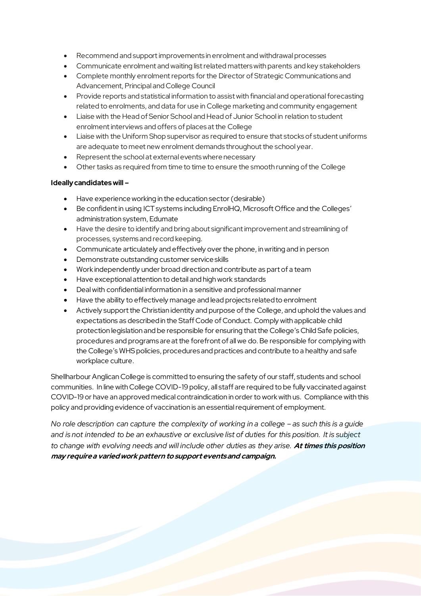- Recommend and support improvements in enrolment and withdrawal processes
- Communicate enrolment and waiting list related matters with parents and key stakeholders
- Complete monthly enrolment reports for the Director of Strategic Communications and Advancement, Principal and College Council
- Provide reports and statistical information to assist with financial and operational forecasting related to enrolments, and data for use in College marketing and community engagement
- Liaise with the Head of Senior School and Head of Junior School in relation to student enrolment interviews and offers of places at the College
- Liaise with the Uniform Shop supervisor as required to ensure that stocks of student uniforms are adequate to meet new enrolment demands throughout the school year.
- Represent the school at external events where necessary
- Other tasks as required from time to time to ensure the smooth running of the College

#### **Ideally candidates will –**

- Have experience working in the education sector (desirable)
- Be confident in using ICT systems including EnrolHQ, Microsoft Office and the Colleges' administration system, Edumate
- Have the desire to identify and bring about significant improvement and streamlining of processes, systems and record keeping.
- Communicate articulately and effectively over the phone, in writing and in person
- Demonstrate outstanding customer service skills
- Work independently under broad direction and contribute as part of a team
- Have exceptional attention to detail and high work standards
- Deal with confidential information in a sensitive and professional manner
- Have the ability to effectively manage and lead projects related to enrolment
- Actively support the Christian identity and purpose of the College, and uphold the values and expectations as described in the Staff Code of Conduct. Comply with applicable child protection legislation and be responsible for ensuring that the College's Child Safe policies, procedures and programs are at the forefront of all we do.Be responsible for complying with the College's WHS policies, procedures and practices and contribute to a healthy and safe workplace culture.

Shellharbour Anglican College is committed to ensuring the safety of our staff, students and school communities. In line with College COVID-19 policy, all staff are required to be fully vaccinated against COVID-19 or have an approved medical contraindication in order to work with us. Compliance with this policy and providing evidence of vaccination is an essential requirement of employment.

*No role description can capture the complexity of working in a college – as such this is a guide and is not intended to be an exhaustive or exclusive list of duties for this position. It is subject to change with evolving needs and will include other duties as they arise.* **At times this position may require a varied work pattern to support events and campaign.**